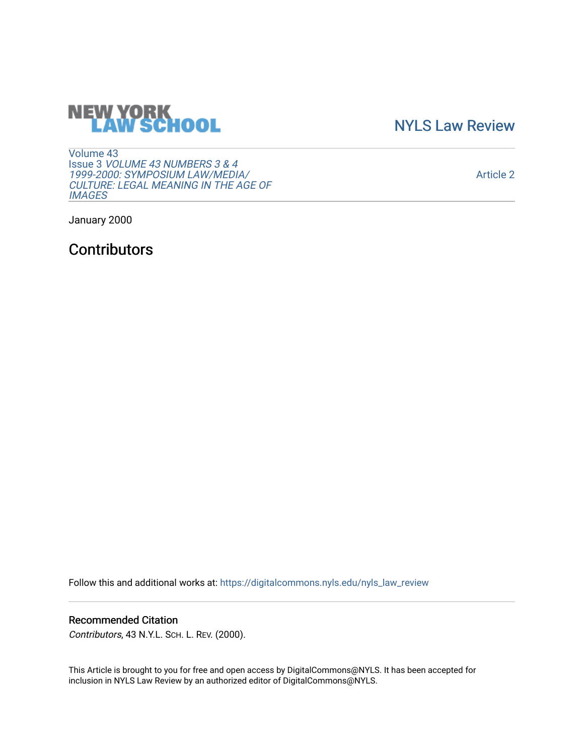## **NEW YORK<br>LAW SCHOOL**

[NYLS Law Review](https://digitalcommons.nyls.edu/nyls_law_review) 

[Volume 43](https://digitalcommons.nyls.edu/nyls_law_review/vol43) Issue 3 [VOLUME 43 NUMBERS 3 & 4](https://digitalcommons.nyls.edu/nyls_law_review/vol43/iss3)  [1999-2000: SYMPOSIUM LAW/MEDIA/](https://digitalcommons.nyls.edu/nyls_law_review/vol43/iss3) [CULTURE: LEGAL MEANING IN THE AGE OF](https://digitalcommons.nyls.edu/nyls_law_review/vol43/iss3) **[IMAGES](https://digitalcommons.nyls.edu/nyls_law_review/vol43/iss3)** 

[Article 2](https://digitalcommons.nyls.edu/nyls_law_review/vol43/iss3/2) 

January 2000

**Contributors** 

Follow this and additional works at: [https://digitalcommons.nyls.edu/nyls\\_law\\_review](https://digitalcommons.nyls.edu/nyls_law_review?utm_source=digitalcommons.nyls.edu%2Fnyls_law_review%2Fvol43%2Fiss3%2F2&utm_medium=PDF&utm_campaign=PDFCoverPages) 

## Recommended Citation

Contributors, 43 N.Y.L. SCH. L. REV. (2000).

This Article is brought to you for free and open access by DigitalCommons@NYLS. It has been accepted for inclusion in NYLS Law Review by an authorized editor of DigitalCommons@NYLS.